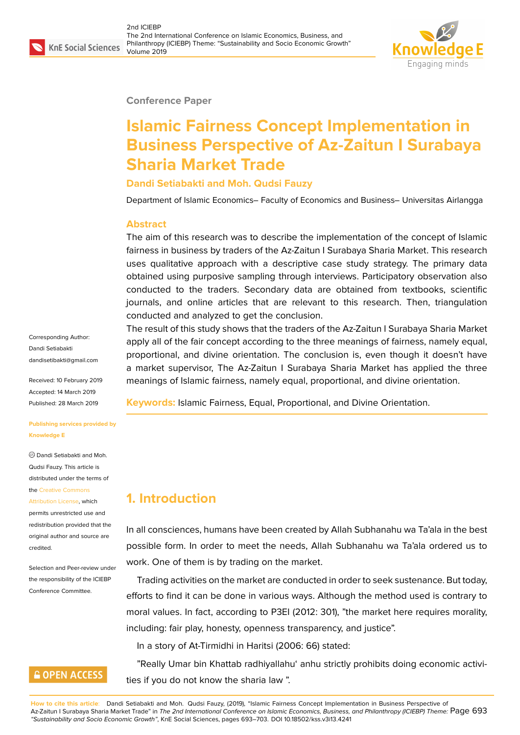

**Conference Paper**

# **Islamic Fairness Concept Implementation in Business Perspective of Az-Zaitun I Surabaya Sharia Market Trade**

**Dandi Setiabakti and Moh. Qudsi Fauzy**

Department of Islamic Economics– Faculty of Economics and Business– Universitas Airlangga

#### **Abstract**

The aim of this research was to describe the implementation of the concept of Islamic fairness in business by traders of the Az-Zaitun I Surabaya Sharia Market. This research uses qualitative approach with a descriptive case study strategy. The primary data obtained using purposive sampling through interviews. Participatory observation also conducted to the traders. Secondary data are obtained from textbooks, scientific journals, and online articles that are relevant to this research. Then, triangulation conducted and analyzed to get the conclusion.

Corresponding Author: Dandi Setiabakti dandisetibakti@gmail.com

Received: 10 February 2019 Accepted: 14 March 2019 [Published: 28 March 2019](mailto:dandisetibakti@gmail.com)

**Publishing services provided by Knowledge E**

Dandi Setiabakti and Moh. Qudsi Fauzy. This article is distributed under the terms of the Creative Commons

Attribution License, which permits unrestricted use and redistribution provided that the orig[inal author and sou](https://creativecommons.org/licenses/by/4.0/)rce are [credited.](https://creativecommons.org/licenses/by/4.0/)

Selection and Peer-review under the responsibility of the ICIEBP Conference Committee.

## **GOPEN ACCESS**

The result of this study shows that the traders of the Az-Zaitun I Surabaya Sharia Market apply all of the fair concept according to the three meanings of fairness, namely equal, proportional, and divine orientation. The conclusion is, even though it doesn't have a market supervisor, The Az-Zaitun I Surabaya Sharia Market has applied the three meanings of Islamic fairness, namely equal, proportional, and divine orientation.

**Keywords:** Islamic Fairness, Equal, Proportional, and Divine Orientation.

## **1. Introduction**

In all consciences, humans have been created by Allah Subhanahu wa Ta'ala in the best possible form. In order to meet the needs, Allah Subhanahu wa Ta'ala ordered us to work. One of them is by trading on the market.

Trading activities on the market are conducted in order to seek sustenance. But today, efforts to find it can be done in various ways. Although the method used is contrary to moral values. In fact, according to P3EI (2012: 301), "the market here requires morality, including: fair play, honesty, openness transparency, and justice".

In a story of At-Tirmidhi in Haritsi (2006: 66) stated:

"Really Umar bin Khattab radhiyallahu' anhu strictly prohibits doing economic activities if you do not know the sharia law ".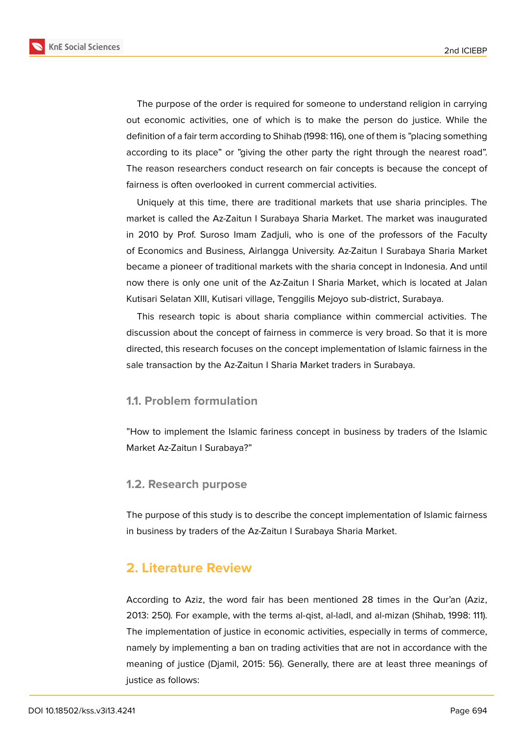**KnE Social Sciences** 



The purpose of the order is required for someone to understand religion in carrying out economic activities, one of which is to make the person do justice. While the definition of a fair term according to Shihab (1998: 116), one of them is "placing something according to its place" or "giving the other party the right through the nearest road". The reason researchers conduct research on fair concepts is because the concept of fairness is often overlooked in current commercial activities.

Uniquely at this time, there are traditional markets that use sharia principles. The market is called the Az-Zaitun I Surabaya Sharia Market. The market was inaugurated in 2010 by Prof. Suroso Imam Zadjuli, who is one of the professors of the Faculty of Economics and Business, Airlangga University. Az-Zaitun I Surabaya Sharia Market became a pioneer of traditional markets with the sharia concept in Indonesia. And until now there is only one unit of the Az-Zaitun I Sharia Market, which is located at Jalan Kutisari Selatan XIII, Kutisari village, Tenggilis Mejoyo sub-district, Surabaya.

This research topic is about sharia compliance within commercial activities. The discussion about the concept of fairness in commerce is very broad. So that it is more directed, this research focuses on the concept implementation of Islamic fairness in the sale transaction by the Az-Zaitun I Sharia Market traders in Surabaya.

#### **1.1. Problem formulation**

"How to implement the Islamic fariness concept in business by traders of the Islamic Market Az-Zaitun I Surabaya?"

#### **1.2. Research purpose**

The purpose of this study is to describe the concept implementation of Islamic fairness in business by traders of the Az-Zaitun I Surabaya Sharia Market.

## **2. Literature Review**

According to Aziz, the word fair has been mentioned 28 times in the Qur'an (Aziz, 2013: 250). For example, with the terms al-qist, al-ladl, and al-mizan (Shihab, 1998: 111). The implementation of justice in economic activities, especially in terms of commerce, namely by implementing a ban on trading activities that are not in accordance with the meaning of justice (Djamil, 2015: 56). Generally, there are at least three meanings of justice as follows: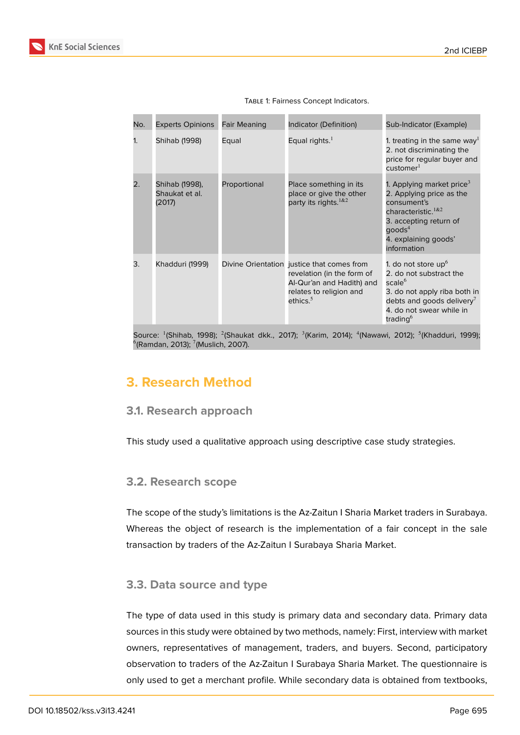

| No.                                                                                                                                                             | <b>Experts Opinions</b>                    | Fair Meaning | Indicator (Definition)                                                                                                                          | Sub-Indicator (Example)                                                                                                                                                                                 |  |
|-----------------------------------------------------------------------------------------------------------------------------------------------------------------|--------------------------------------------|--------------|-------------------------------------------------------------------------------------------------------------------------------------------------|---------------------------------------------------------------------------------------------------------------------------------------------------------------------------------------------------------|--|
| 1.                                                                                                                                                              | Shihab (1998)                              | Equal        | Equal rights. $1$                                                                                                                               | 1. treating in the same way <sup>1</sup><br>2. not discriminating the<br>price for regular buyer and<br>customer <sup>1</sup>                                                                           |  |
| 2.                                                                                                                                                              | Shihab (1998),<br>Shaukat et al.<br>(2017) | Proportional | Place something in its<br>place or give the other<br>party its rights. 1&2                                                                      | 1. Applying market price <sup>3</sup><br>2. Applying price as the<br>consument's<br>characteristic. <sup>1&amp;2</sup><br>3. accepting return of<br>$q$ oods $4$<br>4. explaining goods'<br>information |  |
| 3.                                                                                                                                                              | Khadduri (1999)                            |              | Divine Orientation justice that comes from<br>revelation (in the form of<br>Al-Qur'an and Hadith) and<br>relates to religion and<br>ethics. $5$ | 1. do not store $up6$<br>2. do not substract the<br>scale $6$<br>3. do not apply riba both in<br>debts and goods delivery <sup>7</sup><br>4. do not swear while in<br>trading <sup>6</sup>              |  |
| Source: <sup>1</sup> (Shihab, 1998); <sup>2</sup> (Shaukat dkk., 2017); <sup>3</sup> (Karim, 2014); <sup>4</sup> (Nawawi, 2012); <sup>5</sup> (Khadduri, 1999); |                                            |              |                                                                                                                                                 |                                                                                                                                                                                                         |  |

TABLE 1: Fairness Concept Indicators.

## **3. Research Method**

 $^6$ (Ramdan, 2013);  $^7$ (Muslich, 2007).

#### **3.1. Research approach**

This study used a qualitative approach using descriptive case study strategies.

#### **3.2. Research scope**

The scope of the study's limitations is the Az-Zaitun I Sharia Market traders in Surabaya. Whereas the object of research is the implementation of a fair concept in the sale transaction by traders of the Az-Zaitun I Surabaya Sharia Market.

#### **3.3. Data source and type**

The type of data used in this study is primary data and secondary data. Primary data sources in this study were obtained by two methods, namely: First, interview with market owners, representatives of management, traders, and buyers. Second, participatory observation to traders of the Az-Zaitun I Surabaya Sharia Market. The questionnaire is only used to get a merchant profile. While secondary data is obtained from textbooks,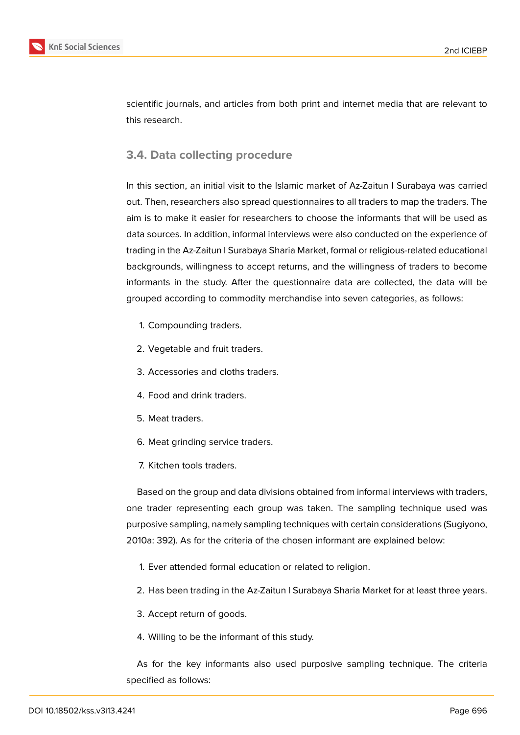

scientific journals, and articles from both print and internet media that are relevant to this research.

## **3.4. Data collecting procedure**

In this section, an initial visit to the Islamic market of Az-Zaitun I Surabaya was carried out. Then, researchers also spread questionnaires to all traders to map the traders. The aim is to make it easier for researchers to choose the informants that will be used as data sources. In addition, informal interviews were also conducted on the experience of trading in the Az-Zaitun I Surabaya Sharia Market, formal or religious-related educational backgrounds, willingness to accept returns, and the willingness of traders to become informants in the study. After the questionnaire data are collected, the data will be grouped according to commodity merchandise into seven categories, as follows:

- 1. Compounding traders.
- 2. Vegetable and fruit traders.
- 3. Accessories and cloths traders.
- 4. Food and drink traders.
- 5. Meat traders.
- 6. Meat grinding service traders.
- 7. Kitchen tools traders.

Based on the group and data divisions obtained from informal interviews with traders, one trader representing each group was taken. The sampling technique used was purposive sampling, namely sampling techniques with certain considerations (Sugiyono, 2010a: 392). As for the criteria of the chosen informant are explained below:

- 1. Ever attended formal education or related to religion.
- 2. Has been trading in the Az-Zaitun I Surabaya Sharia Market for at least three years.
- 3. Accept return of goods.
- 4. Willing to be the informant of this study.

As for the key informants also used purposive sampling technique. The criteria specified as follows: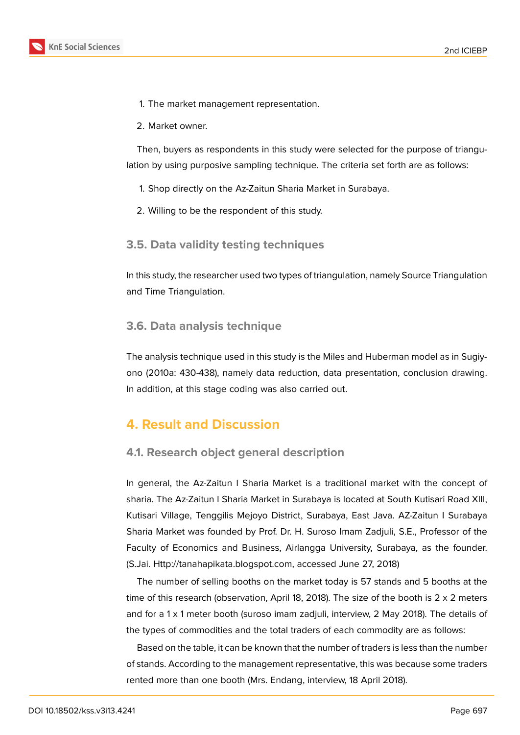- 1. The market management representation.
- 2. Market owner.

Then, buyers as respondents in this study were selected for the purpose of triangulation by using purposive sampling technique. The criteria set forth are as follows:

- 1. Shop directly on the Az-Zaitun Sharia Market in Surabaya.
- 2. Willing to be the respondent of this study.

#### **3.5. Data validity testing techniques**

In this study, the researcher used two types of triangulation, namely Source Triangulation and Time Triangulation.

#### **3.6. Data analysis technique**

The analysis technique used in this study is the Miles and Huberman model as in Sugiyono (2010a: 430-438), namely data reduction, data presentation, conclusion drawing. In addition, at this stage coding was also carried out.

## **4. Result and Discussion**

#### **4.1. Research object general description**

In general, the Az-Zaitun I Sharia Market is a traditional market with the concept of sharia. The Az-Zaitun I Sharia Market in Surabaya is located at South Kutisari Road XIII, Kutisari Village, Tenggilis Mejoyo District, Surabaya, East Java. AZ-Zaitun I Surabaya Sharia Market was founded by Prof. Dr. H. Suroso Imam Zadjuli, S.E., Professor of the Faculty of Economics and Business, Airlangga University, Surabaya, as the founder. (S.Jai. Http://tanahapikata.blogspot.com, accessed June 27, 2018)

The number of selling booths on the market today is 57 stands and 5 booths at the time of this research (observation, April 18, 2018). The size of the booth is 2 x 2 meters and fo[r a 1 x 1 meter booth \(suroso imam](Http://tanahapikata.blogspot.com) zadjuli, interview, 2 May 2018). The details of the types of commodities and the total traders of each commodity are as follows:

Based on the table, it can be known that the number of traders is less than the number of stands. According to the management representative, this was because some traders rented more than one booth (Mrs. Endang, interview, 18 April 2018).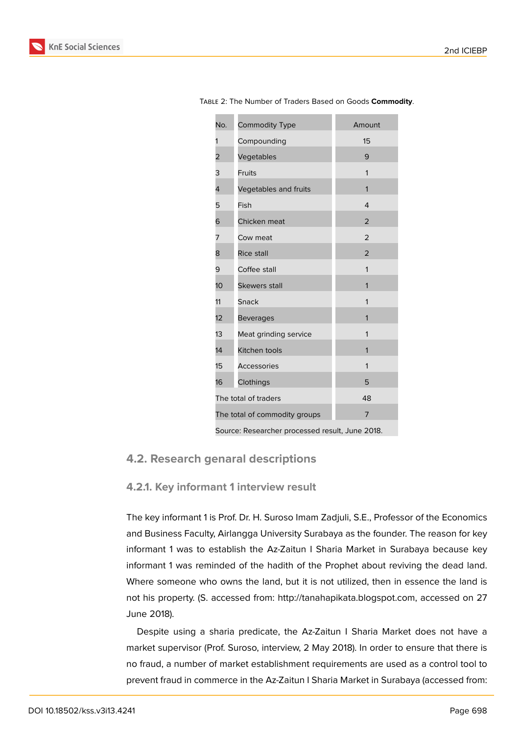| No.                                             | Commodity Type        | Amount         |  |  |
|-------------------------------------------------|-----------------------|----------------|--|--|
| 1                                               | Compounding           | 15             |  |  |
| 2                                               | Vegetables            | 9              |  |  |
| 3                                               | Fruits                | 1              |  |  |
| 4                                               | Vegetables and fruits | 1              |  |  |
| 5                                               | Fish                  | 4              |  |  |
| 6                                               | Chicken meat          | $\overline{2}$ |  |  |
| 7                                               | Cow meat              | $\overline{2}$ |  |  |
| 8                                               | <b>Rice stall</b>     | $\overline{2}$ |  |  |
| 9                                               | Coffee stall          | 1              |  |  |
| 10 <sup>1</sup>                                 | <b>Skewers stall</b>  | 1              |  |  |
| 11                                              | Snack                 | 1              |  |  |
| 12                                              | <b>Beverages</b>      | 1              |  |  |
| 13                                              | Meat grinding service | 1              |  |  |
| 14                                              | Kitchen tools         | 1              |  |  |
| 15                                              | <b>Accessories</b>    | 1              |  |  |
| 16                                              | Clothings             | 5              |  |  |
| The total of traders<br>48                      |                       |                |  |  |
| The total of commodity groups<br>7              |                       |                |  |  |
| Source: Researcher processed result, June 2018. |                       |                |  |  |

Table 2: The Number of Traders Based on Goods **Commodity**.

#### **4.2. Research genaral descriptions**

#### **4.2.1. Key informant 1 interview result**

The key informant 1 is Prof. Dr. H. Suroso Imam Zadjuli, S.E., Professor of the Economics and Business Faculty, Airlangga University Surabaya as the founder. The reason for key informant 1 was to establish the Az-Zaitun I Sharia Market in Surabaya because key informant 1 was reminded of the hadith of the Prophet about reviving the dead land. Where someone who owns the land, but it is not utilized, then in essence the land is not his property. (S. accessed from: http://tanahapikata.blogspot.com, accessed on 27 June 2018).

Despite using a sharia predicate, the Az-Zaitun I Sharia Market does not have a market supervisor (Prof. Suroso, inte[rview, 2 May 2018\). In order to en](http://tanahapikata.blogspot.com)sure that there is no fraud, a number of market establishment requirements are used as a control tool to prevent fraud in commerce in the Az-Zaitun I Sharia Market in Surabaya (accessed from: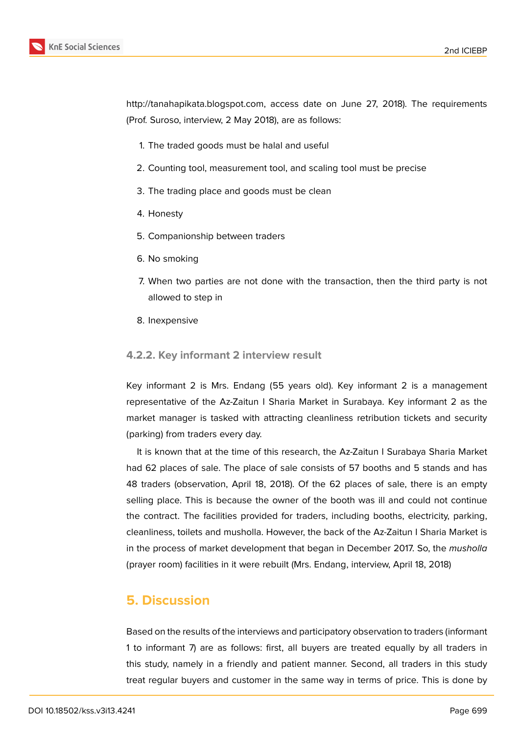http://tanahapikata.blogspot.com, access date on June 27, 2018). The requirements (Prof. Suroso, interview, 2 May 2018), are as follows:

- 1. [The traded goods must be h](http://tanahapikata.blogspot.com)alal and useful
- 2. Counting tool, measurement tool, and scaling tool must be precise
- 3. The trading place and goods must be clean
- 4. Honesty
- 5. Companionship between traders
- 6. No smoking
- 7. When two parties are not done with the transaction, then the third party is not allowed to step in
- 8. Inexpensive

#### **4.2.2. Key informant 2 interview result**

Key informant 2 is Mrs. Endang (55 years old). Key informant 2 is a management representative of the Az-Zaitun I Sharia Market in Surabaya. Key informant 2 as the market manager is tasked with attracting cleanliness retribution tickets and security (parking) from traders every day.

It is known that at the time of this research, the Az-Zaitun I Surabaya Sharia Market had 62 places of sale. The place of sale consists of 57 booths and 5 stands and has 48 traders (observation, April 18, 2018). Of the 62 places of sale, there is an empty selling place. This is because the owner of the booth was ill and could not continue the contract. The facilities provided for traders, including booths, electricity, parking, cleanliness, toilets and musholla. However, the back of the Az-Zaitun I Sharia Market is in the process of market development that began in December 2017. So, the *musholla* (prayer room) facilities in it were rebuilt (Mrs. Endang, interview, April 18, 2018)

## **5. Discussion**

Based on the results of the interviews and participatory observation to traders (informant 1 to informant 7) are as follows: first, all buyers are treated equally by all traders in this study, namely in a friendly and patient manner. Second, all traders in this study treat regular buyers and customer in the same way in terms of price. This is done by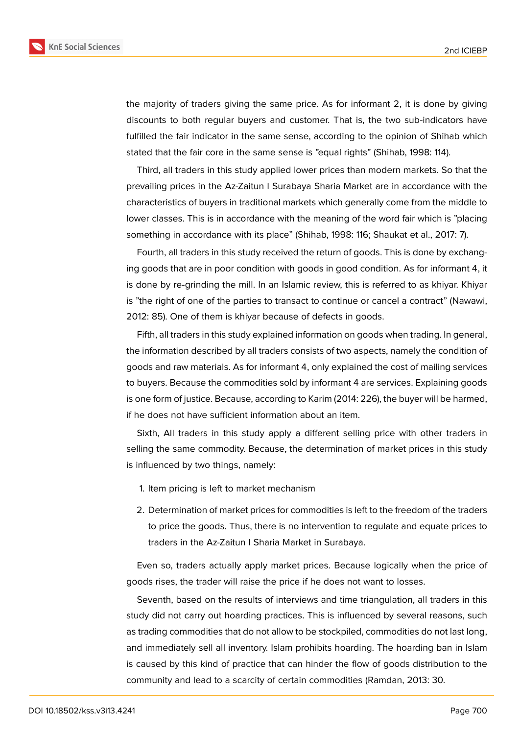

the majority of traders giving the same price. As for informant 2, it is done by giving discounts to both regular buyers and customer. That is, the two sub-indicators have fulfilled the fair indicator in the same sense, according to the opinion of Shihab which stated that the fair core in the same sense is "equal rights" (Shihab, 1998: 114).

Third, all traders in this study applied lower prices than modern markets. So that the prevailing prices in the Az-Zaitun I Surabaya Sharia Market are in accordance with the characteristics of buyers in traditional markets which generally come from the middle to lower classes. This is in accordance with the meaning of the word fair which is "placing something in accordance with its place" (Shihab, 1998: 116; Shaukat et al., 2017: 7).

Fourth, all traders in this study received the return of goods. This is done by exchanging goods that are in poor condition with goods in good condition. As for informant 4, it is done by re-grinding the mill. In an Islamic review, this is referred to as khiyar. Khiyar is "the right of one of the parties to transact to continue or cancel a contract" (Nawawi, 2012: 85). One of them is khiyar because of defects in goods.

Fifth, all traders in this study explained information on goods when trading. In general, the information described by all traders consists of two aspects, namely the condition of goods and raw materials. As for informant 4, only explained the cost of mailing services to buyers. Because the commodities sold by informant 4 are services. Explaining goods is one form of justice. Because, according to Karim (2014: 226), the buyer will be harmed, if he does not have sufficient information about an item.

Sixth, All traders in this study apply a different selling price with other traders in selling the same commodity. Because, the determination of market prices in this study is influenced by two things, namely:

- 1. Item pricing is left to market mechanism
- 2. Determination of market prices for commodities is left to the freedom of the traders to price the goods. Thus, there is no intervention to regulate and equate prices to traders in the Az-Zaitun I Sharia Market in Surabaya.

Even so, traders actually apply market prices. Because logically when the price of goods rises, the trader will raise the price if he does not want to losses.

Seventh, based on the results of interviews and time triangulation, all traders in this study did not carry out hoarding practices. This is influenced by several reasons, such as trading commodities that do not allow to be stockpiled, commodities do not last long, and immediately sell all inventory. Islam prohibits hoarding. The hoarding ban in Islam is caused by this kind of practice that can hinder the flow of goods distribution to the community and lead to a scarcity of certain commodities (Ramdan, 2013: 30.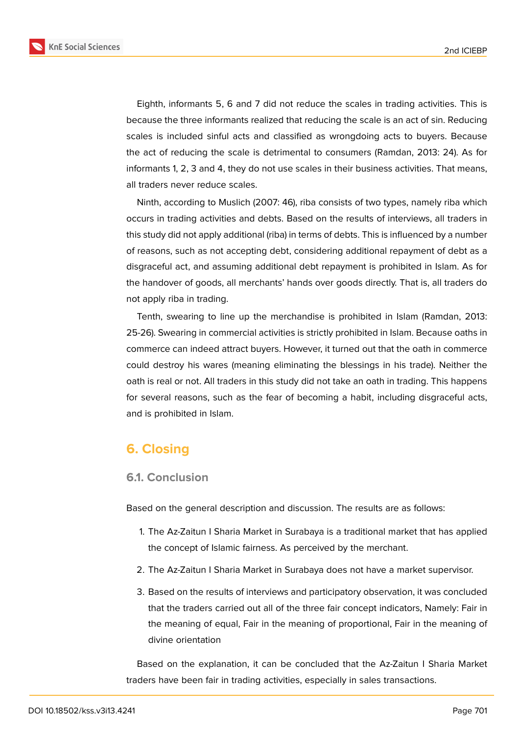

Eighth, informants 5, 6 and 7 did not reduce the scales in trading activities. This is because the three informants realized that reducing the scale is an act of sin. Reducing scales is included sinful acts and classified as wrongdoing acts to buyers. Because the act of reducing the scale is detrimental to consumers (Ramdan, 2013: 24). As for informants 1, 2, 3 and 4, they do not use scales in their business activities. That means, all traders never reduce scales.

Ninth, according to Muslich (2007: 46), riba consists of two types, namely riba which occurs in trading activities and debts. Based on the results of interviews, all traders in this study did not apply additional (riba) in terms of debts. This is influenced by a number of reasons, such as not accepting debt, considering additional repayment of debt as a disgraceful act, and assuming additional debt repayment is prohibited in Islam. As for the handover of goods, all merchants' hands over goods directly. That is, all traders do not apply riba in trading.

Tenth, swearing to line up the merchandise is prohibited in Islam (Ramdan, 2013: 25-26). Swearing in commercial activities is strictly prohibited in Islam. Because oaths in commerce can indeed attract buyers. However, it turned out that the oath in commerce could destroy his wares (meaning eliminating the blessings in his trade). Neither the oath is real or not. All traders in this study did not take an oath in trading. This happens for several reasons, such as the fear of becoming a habit, including disgraceful acts, and is prohibited in Islam.

## **6. Closing**

#### **6.1. Conclusion**

Based on the general description and discussion. The results are as follows:

- 1. The Az-Zaitun I Sharia Market in Surabaya is a traditional market that has applied the concept of Islamic fairness. As perceived by the merchant.
- 2. The Az-Zaitun I Sharia Market in Surabaya does not have a market supervisor.
- 3. Based on the results of interviews and participatory observation, it was concluded that the traders carried out all of the three fair concept indicators, Namely: Fair in the meaning of equal, Fair in the meaning of proportional, Fair in the meaning of divine orientation

Based on the explanation, it can be concluded that the Az-Zaitun I Sharia Market traders have been fair in trading activities, especially in sales transactions.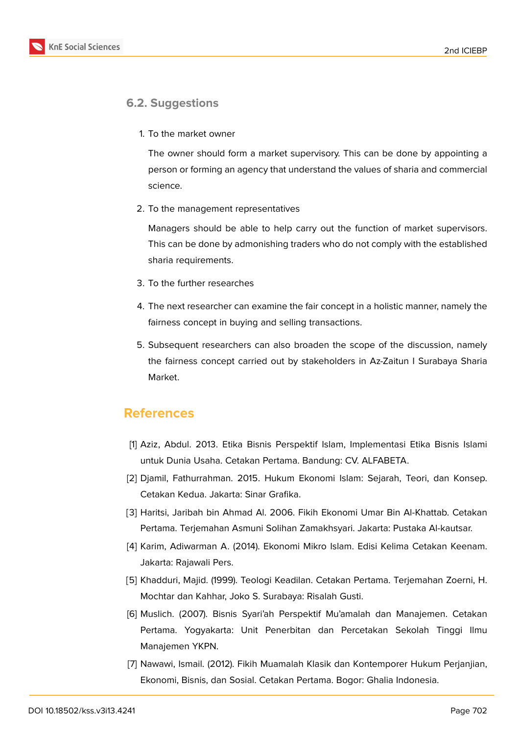

#### **6.2. Suggestions**

1. To the market owner

The owner should form a market supervisory. This can be done by appointing a person or forming an agency that understand the values of sharia and commercial science.

2. To the management representatives

Managers should be able to help carry out the function of market supervisors. This can be done by admonishing traders who do not comply with the established sharia requirements.

- 3. To the further researches
- 4. The next researcher can examine the fair concept in a holistic manner, namely the fairness concept in buying and selling transactions.
- 5. Subsequent researchers can also broaden the scope of the discussion, namely the fairness concept carried out by stakeholders in Az-Zaitun I Surabaya Sharia Market.

## **References**

- [1] Aziz, Abdul. 2013. Etika Bisnis Perspektif Islam, Implementasi Etika Bisnis Islami untuk Dunia Usaha. Cetakan Pertama. Bandung: CV. ALFABETA.
- [2] Djamil, Fathurrahman. 2015. Hukum Ekonomi Islam: Sejarah, Teori, dan Konsep. Cetakan Kedua. Jakarta: Sinar Grafika.
- [3] Haritsi, Jaribah bin Ahmad Al. 2006. Fikih Ekonomi Umar Bin Al-Khattab. Cetakan Pertama. Terjemahan Asmuni Solihan Zamakhsyari. Jakarta: Pustaka Al-kautsar.
- [4] Karim, Adiwarman A. (2014). Ekonomi Mikro Islam. Edisi Kelima Cetakan Keenam. Jakarta: Rajawali Pers.
- [5] Khadduri, Majid. (1999). Teologi Keadilan. Cetakan Pertama. Terjemahan Zoerni, H. Mochtar dan Kahhar, Joko S. Surabaya: Risalah Gusti.
- [6] Muslich. (2007). Bisnis Syari'ah Perspektif Mu'amalah dan Manajemen. Cetakan Pertama. Yogyakarta: Unit Penerbitan dan Percetakan Sekolah Tinggi Ilmu Manajemen YKPN.
- [7] Nawawi, Ismail. (2012). Fikih Muamalah Klasik dan Kontemporer Hukum Perjanjian, Ekonomi, Bisnis, dan Sosial. Cetakan Pertama. Bogor: Ghalia Indonesia.